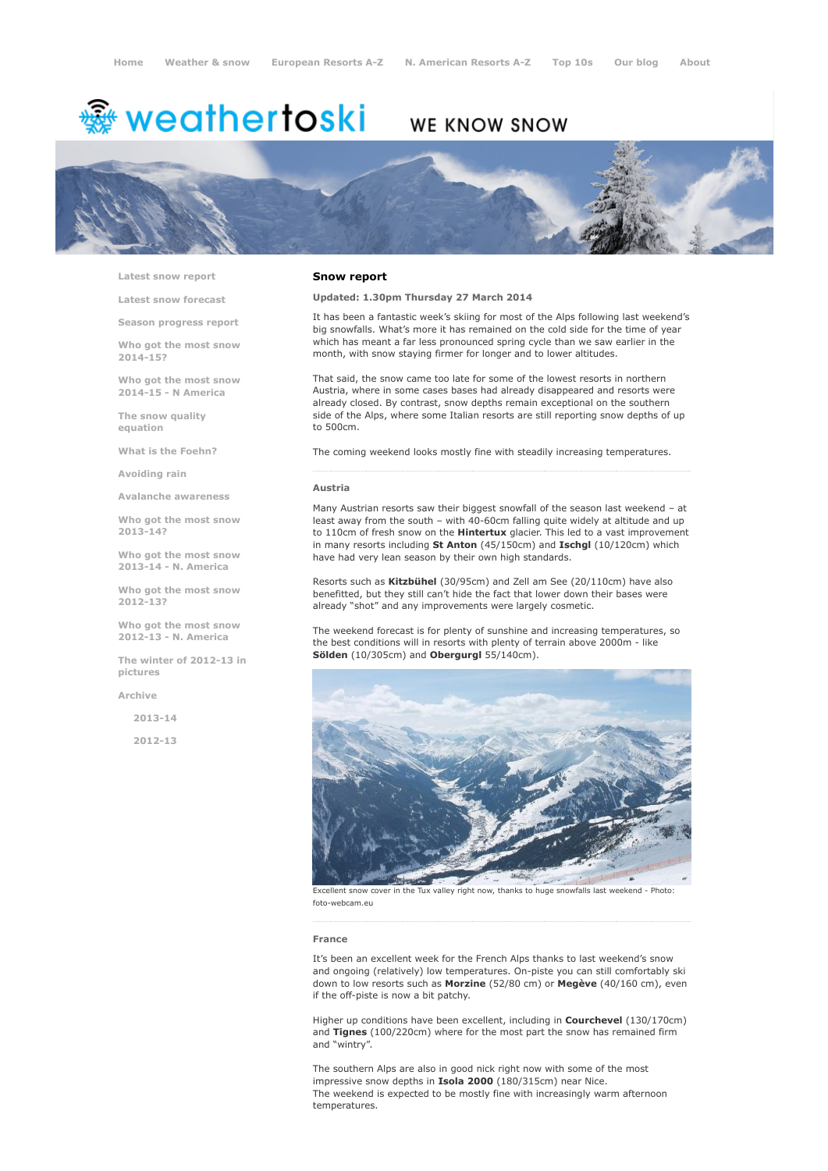# <del>靈</del> weathertoski

# WE KNOW SNOW



Latest snow [report](http://www.weathertoski.co.uk/weather-snow/latest-snow-report/)

Latest snow [forecast](http://www.weathertoski.co.uk/weather-snow/latest-snow-forecast/)

Season [progress](http://www.weathertoski.co.uk/weather-snow/season-progress-report/) report

Who got the most snow 2014-15?

Who got the most snow 2014-15 - N America

The snow quality [equation](http://www.weathertoski.co.uk/weather-snow/the-snow-quality-equation/)

What is the [Foehn?](http://www.weathertoski.co.uk/weather-snow/what-is-the-foehn/)

[Avoiding](http://www.weathertoski.co.uk/weather-snow/avoiding-rain/) rain

Avalanche [awareness](http://www.weathertoski.co.uk/weather-snow/avalanche-awareness/)

Who got the most snow 2013-14?

Who got the most snow 2013-14 - N. America

Who got the most snow 2012-13?

Who got the most snow 2012-13 - N. America

The winter of 2012-13 in pictures

[Archive](http://www.weathertoski.co.uk/weather-snow/archive/)

2013-14

2012-13

#### Snow report

# Updated: 1.30pm Thursday 27 March 2014

It has been a fantastic week's skiing for most of the Alps following last weekend's big snowfalls. What's more it has remained on the cold side for the time of year which has meant a far less pronounced spring cycle than we saw earlier in the month, with snow staying firmer for longer and to lower altitudes.

That said, the snow came too late for some of the lowest resorts in northern Austria, where in some cases bases had already disappeared and resorts were already closed. By contrast, snow depths remain exceptional on the southern side of the Alps, where some Italian resorts are still reporting snow depths of up to 500cm.

The coming weekend looks mostly fine with steadily increasing temperatures.

#### Austria

Many Austrian resorts saw their biggest snowfall of the season last weekend – at least away from the south - with 40-60cm falling quite widely at altitude and up to 110cm of fresh snow on the Hintertux glacier. This led to a vast improvement in many resorts including St Anton (45/150cm) and Ischgl (10/120cm) which have had very lean season by their own high standards.

Resorts such as Kitzbühel (30/95cm) and Zell am See (20/110cm) have also benefitted, but they still can't hide the fact that lower down their bases were already "shot" and any improvements were largely cosmetic.

The weekend forecast is for plenty of sunshine and increasing temperatures, so the best conditions will in resorts with plenty of terrain above 2000m - like Sölden (10/305cm) and Obergurgl 55/140cm).



Excellent snow cover in the Tux valley right now, thanks to huge snowfalls last weekend - Photo: foto-webcam.eu

#### France

It's been an excellent week for the French Alps thanks to last weekend's snow and ongoing (relatively) low temperatures. On-piste you can still comfortably ski down to low resorts such as Morzine (52/80 cm) or Megève (40/160 cm), even if the off-piste is now a bit patchy.

Higher up conditions have been excellent, including in **Courchevel** (130/170cm) and Tignes (100/220cm) where for the most part the snow has remained firm and "wintry".

The southern Alps are also in good nick right now with some of the most impressive snow depths in Isola 2000 (180/315cm) near Nice. The weekend is expected to be mostly fine with increasingly warm afternoon temperatures.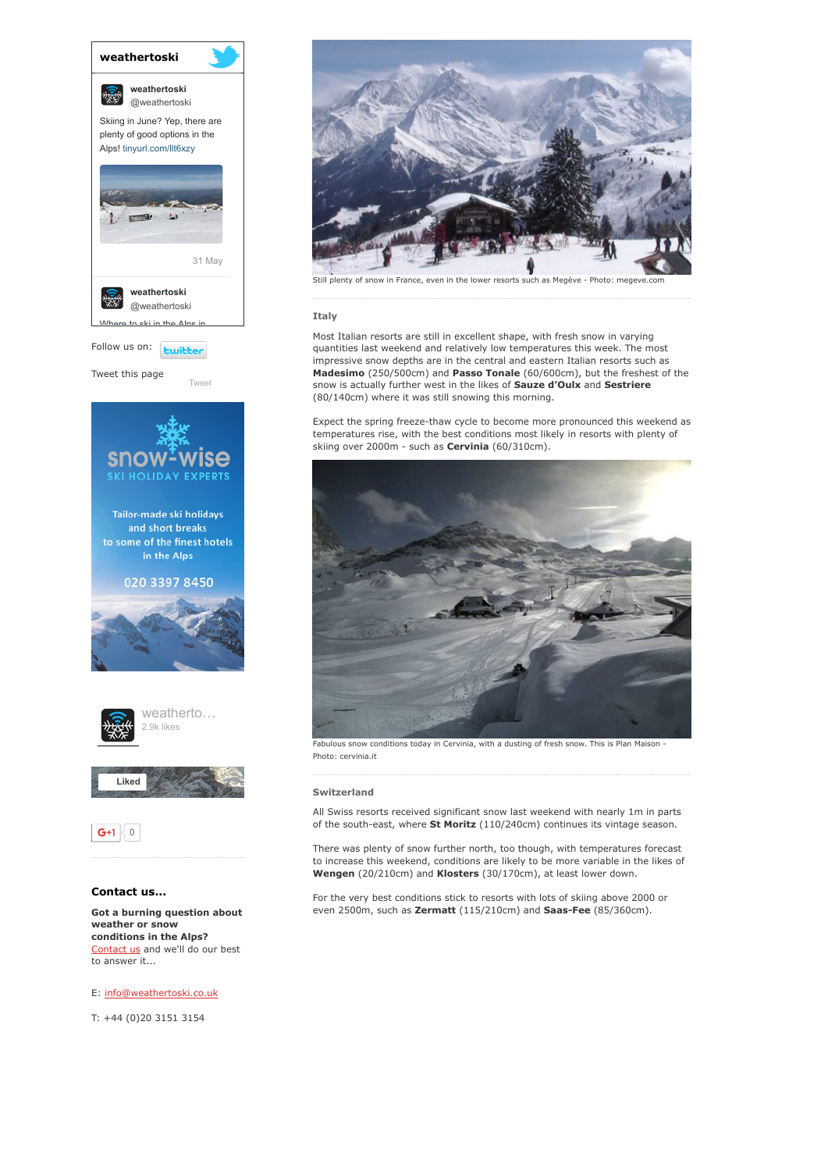

[Tweet](https://twitter.com/intent/tweet?original_referer=http%3A%2F%2Fwww.weathertoski.co.uk%2Fweather-snow%2Farchive%2Fsnow-report-27-03-2014%2F&ref_src=twsrc%5Etfw&text=Weather%20to%20ski%20-%20snow%20report%20-%2027%20March%202014&tw_p=tweetbutton&url=http%3A%2F%2Fwww.weathertoski.co.uk%2Fweather-snow%2Farchive%2Fsnow-report-27-03-2014%2F)

Tweet this page





 $G+1$  0

# Contact us...

Got a burning question about weather or snow conditions in the Alps? [Contact](http://www.weathertoski.co.uk/about-1/contact-us/) us and we'll do our best to answer it...

E: [info@weathertoski.co.uk](mailto:fraser@weathertoski.co.uk)

T: +44 (0)20 3151 3154



enty of snow in France, even in the lower resorts such as Megève - Photo: megeve.com

# Italy

Most Italian resorts are still in excellent shape, with fresh snow in varying quantities last weekend and relatively low temperatures this week. The most impressive snow depths are in the central and eastern Italian resorts such as Madesimo (250/500cm) and Passo Tonale (60/600cm), but the freshest of the snow is actually further west in the likes of Sauze d'Oulx and Sestriere (80/140cm) where it was still snowing this morning.

Expect the spring freeze-thaw cycle to become more pronounced this weekend as temperatures rise, with the best conditions most likely in resorts with plenty of skiing over 2000m - such as **Cervinia** (60/310cm).



Fabulous snow conditions today in Cervinia, with a dusting of fresh snow. This is Plan Maison -Photo: cervinia.it

# Switzerland

All Swiss resorts received significant snow last weekend with nearly 1m in parts of the south-east, where  $St$  Moritz (110/240cm) continues its vintage season.

There was plenty of snow further north, too though, with temperatures forecast to increase this weekend, conditions are likely to be more variable in the likes of Wengen (20/210cm) and Klosters (30/170cm), at least lower down.

For the very best conditions stick to resorts with lots of skiing above 2000 or even 2500m, such as Zermatt (115/210cm) and Saas-Fee (85/360cm).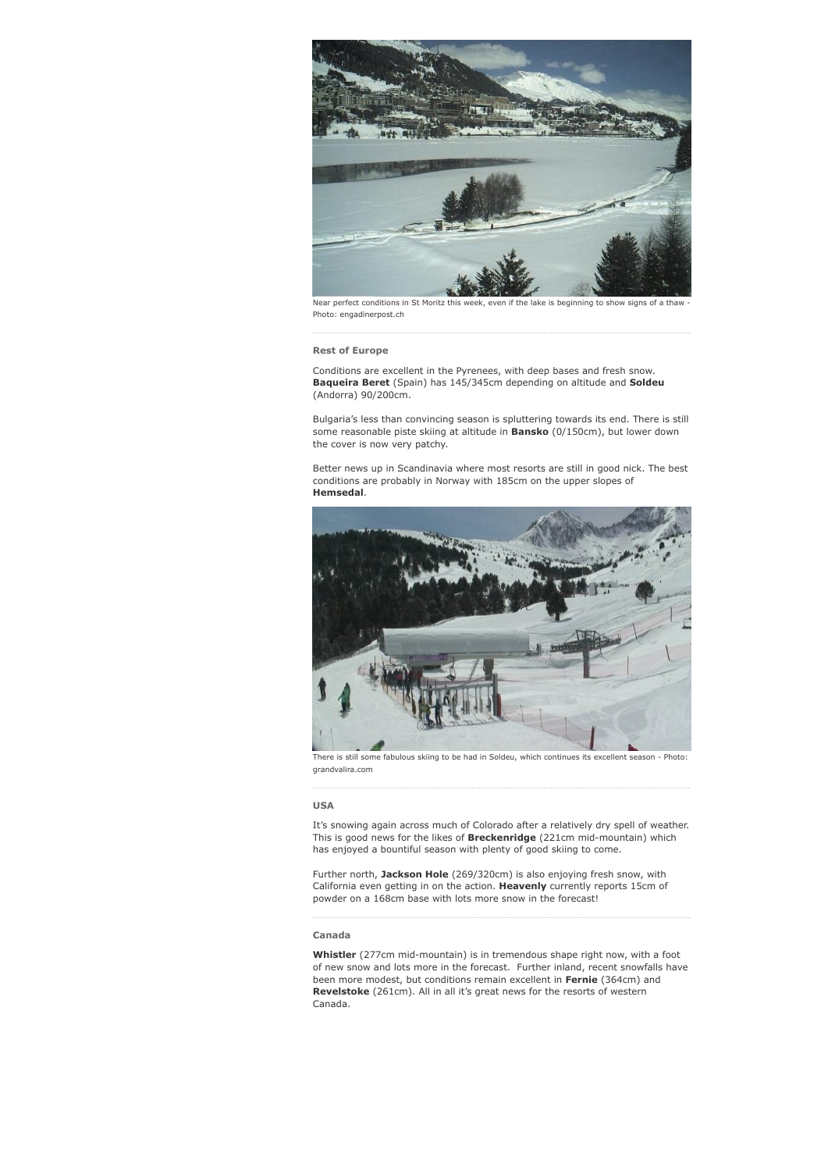

Near perfect conditions in St Moritz this week, even if the lake is beginning to show signs of a thaw Photo: engadinerpost.ch

Rest of Europe

Conditions are excellent in the Pyrenees, with deep bases and fresh snow. Baqueira Beret (Spain) has 145/345cm depending on altitude and Soldeu (Andorra) 90/200cm.

Bulgaria's less than convincing season is spluttering towards its end. There is still some reasonable piste skiing at altitude in **Bansko** (0/150cm), but lower down the cover is now very patchy.

Better news up in Scandinavia where most resorts are still in good nick. The best conditions are probably in Norway with 185cm on the upper slopes of Hemsedal.



There is still some fabulous skiing to be had in Soldeu, which continues its excellent season - Photo: grandvalira.com

### USA

It's snowing again across much of Colorado after a relatively dry spell of weather. This is good news for the likes of Breckenridge (221cm mid-mountain) which has enjoyed a bountiful season with plenty of good skiing to come.

Further north, Jackson Hole (269/320cm) is also enjoying fresh snow, with California even getting in on the action. Heavenly currently reports 15cm of powder on a 168cm base with lots more snow in the forecast!

## Canada

Whistler (277cm mid-mountain) is in tremendous shape right now, with a foot of new snow and lots more in the forecast. Further inland, recent snowfalls have been more modest, but conditions remain excellent in Fernie (364cm) and Revelstoke (261cm). All in all it's great news for the resorts of western Canada.